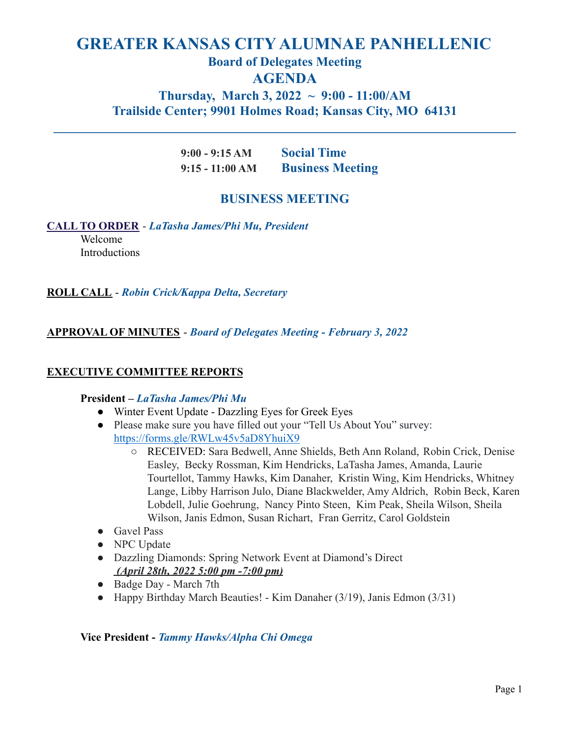# **GREATER KANSAS CITY ALUMNAE PANHELLENIC Board of Delegates Meeting AGENDA Thursday, March 3, 2022 ~ 9:00 - 11:00/AM Trailside Center; 9901 Holmes Road; Kansas City, MO 64131**

**\_\_\_\_\_\_\_\_\_\_\_\_\_\_\_\_\_\_\_\_\_\_\_\_\_\_\_\_\_\_\_\_\_\_\_\_\_\_\_\_\_\_\_\_\_\_\_\_\_\_\_\_\_\_\_\_\_\_\_\_\_\_\_\_\_\_\_\_\_\_\_**

**9:00 - 9:15 AM Social Time 9:15 - 11:00 AM Business Meeting**

# **BUSINESS MEETING**

# **CALL TO ORDER** - *LaTasha James/Phi Mu, President*

Welcome **Introductions** 

# **ROLL CALL** - *Robin Crick/Kappa Delta, Secretary*

# **APPROVAL OF MINUTES** - *Board of Delegates Meeting - February 3, 2022*

# **EXECUTIVE COMMITTEE REPORTS**

### **President –** *LaTasha James/Phi Mu*

- Winter Event Update Dazzling Eyes for Greek Eyes
- Please make sure you have filled out your "Tell Us About You" survey: <https://forms.gle/RWLw45v5aD8YhuiX9>
	- RECEIVED: Sara Bedwell, Anne Shields, Beth Ann Roland, Robin Crick, Denise Easley, Becky Rossman, Kim Hendricks, LaTasha James, Amanda, Laurie Tourtellot, Tammy Hawks, Kim Danaher, Kristin Wing, Kim Hendricks, Whitney Lange, Libby Harrison Julo, Diane Blackwelder, Amy Aldrich, Robin Beck, Karen Lobdell, Julie Goehrung, Nancy Pinto Steen, Kim Peak, Sheila Wilson, Sheila Wilson, Janis Edmon, Susan Richart, Fran Gerritz, Carol Goldstein
- Gavel Pass
- NPC Update
- Dazzling Diamonds: Spring Network Event at Diamond's Direct *(April 28th, 2022 5:00 pm -7:00 pm)*
- Badge Day March 7th
- Happy Birthday March Beauties! Kim Danaher (3/19), Janis Edmon (3/31)

# **Vice President -** *Tammy Hawks/Alpha Chi Omega*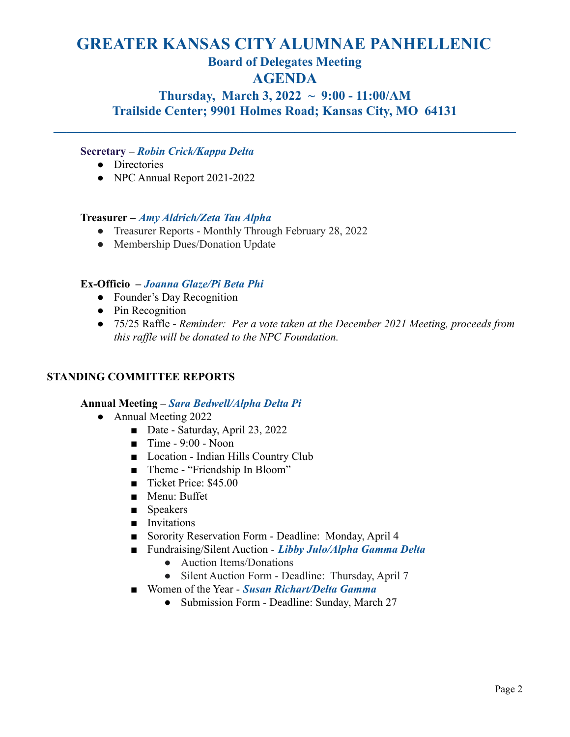# **GREATER KANSAS CITY ALUMNAE PANHELLENIC Board of Delegates Meeting AGENDA**

**Thursday, March 3, 2022 ~ 9:00 - 11:00/AM Trailside Center; 9901 Holmes Road; Kansas City, MO 64131**

**\_\_\_\_\_\_\_\_\_\_\_\_\_\_\_\_\_\_\_\_\_\_\_\_\_\_\_\_\_\_\_\_\_\_\_\_\_\_\_\_\_\_\_\_\_\_\_\_\_\_\_\_\_\_\_\_\_\_\_\_\_\_\_\_\_\_\_\_\_\_\_**

# **Secretary –** *Robin Crick/Kappa Delta*

- Directories
- NPC Annual Report 2021-2022

# **Treasurer –** *Amy Aldrich/Zeta Tau Alpha*

- Treasurer Reports Monthly Through February 28, 2022
- Membership Dues/Donation Update

# **Ex-Officio –** *Joanna Glaze/Pi Beta Phi*

- Founder's Day Recognition
- Pin Recognition
- 75/25 Raffle *Reminder: Per a vote taken at the December 2021 Meeting, proceeds from this raffle will be donated to the NPC Foundation.*

# **STANDING COMMITTEE REPORTS**

### **Annual Meeting –** *Sara Bedwell/Alpha Delta Pi*

- Annual Meeting 2022
	- Date Saturday, April 23, 2022
	- $\blacksquare$  Time 9:00 Noon
	- Location Indian Hills Country Club
	- Theme "Friendship In Bloom"
	- Ticket Price: \$45.00
	- Menu: Buffet
	- Speakers
	- Invitations
	- Sorority Reservation Form Deadline: Monday, April 4
	- Fundraising/Silent Auction *Libby Julo/Alpha Gamma Delta* 
		- Auction Items/Donations
		- Silent Auction Form Deadline: Thursday, April 7
	- Women of the Year *Susan Richart/Delta Gamma* 
		- Submission Form Deadline: Sunday, March 27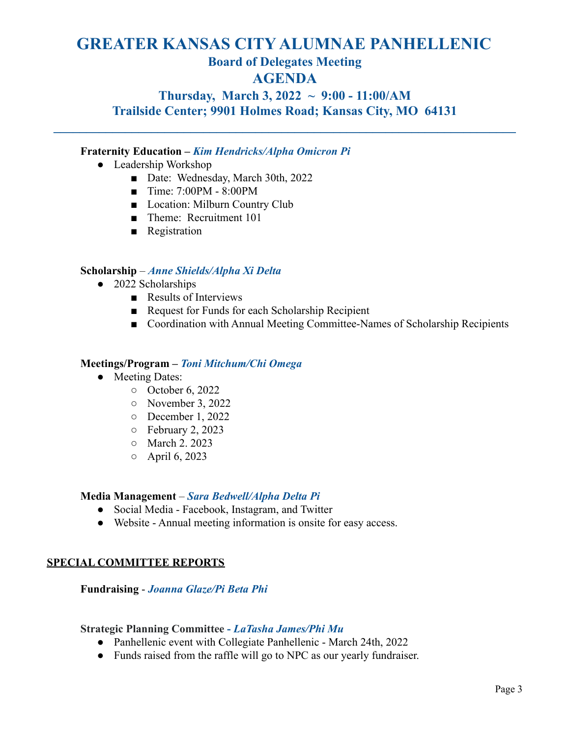# **GREATER KANSAS CITY ALUMNAE PANHELLENIC Board of Delegates Meeting AGENDA**

# **Thursday, March 3, 2022 ~ 9:00 - 11:00/AM Trailside Center; 9901 Holmes Road; Kansas City, MO 64131**

**\_\_\_\_\_\_\_\_\_\_\_\_\_\_\_\_\_\_\_\_\_\_\_\_\_\_\_\_\_\_\_\_\_\_\_\_\_\_\_\_\_\_\_\_\_\_\_\_\_\_\_\_\_\_\_\_\_\_\_\_\_\_\_\_\_\_\_\_\_\_\_**

# **Fraternity Education –** *Kim Hendricks/Alpha Omicron Pi*

- Leadership Workshop
	- Date: Wednesday, March 30th, 2022
	- Time: 7:00PM 8:00PM
	- Location: Milburn Country Club
	- Theme: Recruitment 101
	- Registration

# **Scholarship** – *Anne Shields/Alpha Xi Delta*

- 2022 Scholarships
	- Results of Interviews
	- Request for Funds for each Scholarship Recipient
	- Coordination with Annual Meeting Committee-Names of Scholarship Recipients

### **Meetings/Program –** *Toni Mitchum/Chi Omega*

- **●** Meeting Dates:
	- October 6, 2022
	- November 3, 2022
	- December 1, 2022
	- February 2, 2023
	- March 2. 2023
	- April 6, 2023

### **Media Management** – *Sara Bedwell/Alpha Delta Pi*

- Social Media Facebook, Instagram, and Twitter
- Website Annual meeting information is onsite for easy access.

# **SPECIAL COMMITTEE REPORTS**

### **Fundraising** - *Joanna Glaze/Pi Beta Phi*

### **Strategic Planning Committee -** *LaTasha James/Phi Mu*

- Panhellenic event with Collegiate Panhellenic March 24th, 2022
- Funds raised from the raffle will go to NPC as our yearly fundraiser.